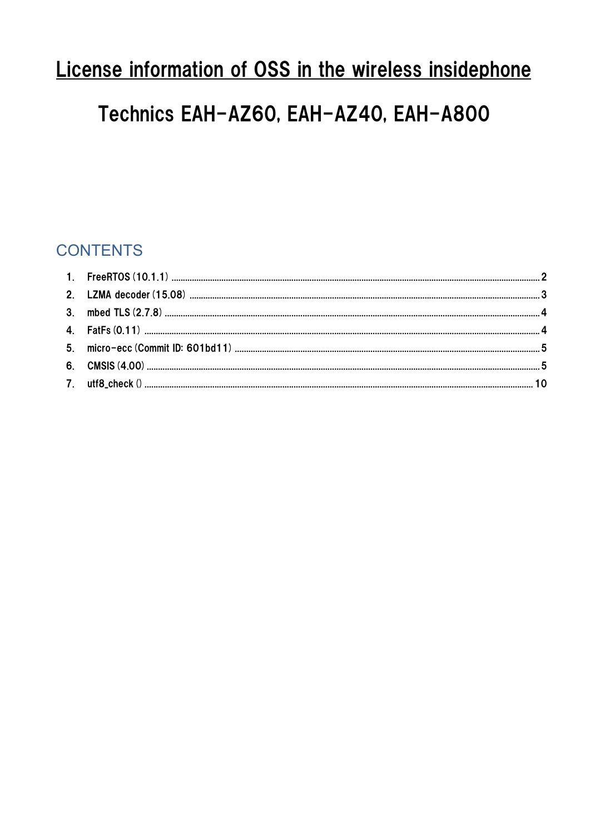# License information of OSS in the wireless insidephone

# Technics EAH-AZ60, EAH-AZ40, EAH-A800

# **CONTENTS**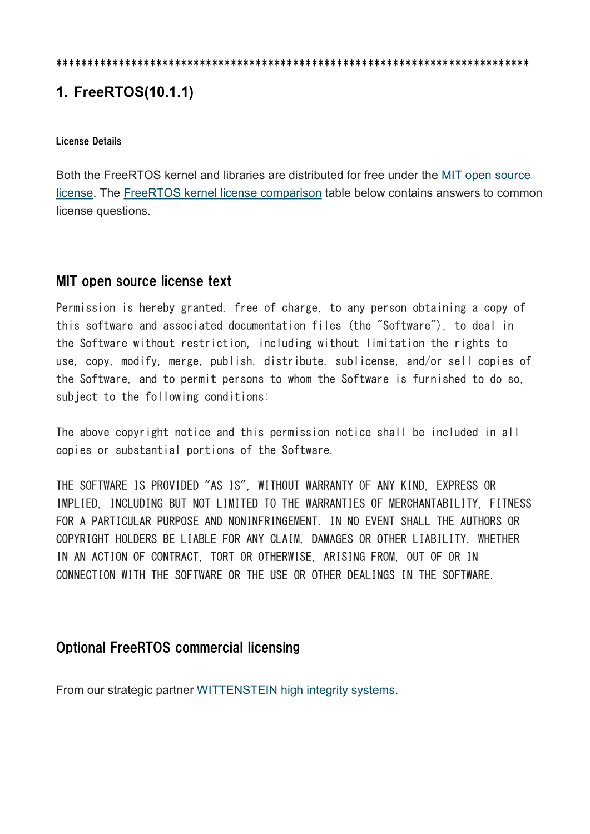#### \*\*\*\*\*\*\*\*\*\*\*\*\*\*\*\*\*\*\*\*\*\*\*\*\*\*\*\*\*\*\*\*\*\*\*\*\*\*\*\*\*\*\*\*\*\*\*\*\*\*\*\*\*\*\*\*\*\*\*\*\*\*\*\*\*\*\*\*\*\*\*\*\*\*\*\*

# 1. FreeRTOS(10.1.1)

#### License Details

Both the FreeRTOS kernel and libraries are distributed for free under the MIT open source license. The FreeRTOS kernel license comparison table below contains answers to common license questions.

## MIT open source license text

Permission is hereby granted, free of charge, to any person obtaining a copy of this software and associated documentation files (the "Software"), to deal in the Software without restriction, including without limitation the rights to use, copy, modify, merge, publish, distribute, sublicense, and/or sell copies of the Software, and to permit persons to whom the Software is furnished to do so, subject to the following conditions:

The above copyright notice and this permission notice shall be included in all copies or substantial portions of the Software.

THE SOFTWARE IS PROVIDED "AS IS", WITHOUT WARRANTY OF ANY KIND, EXPRESS OR IMPLIED, INCLUDING BUT NOT LIMITED TO THE WARRANTIES OF MERCHANTABILITY, FITNESS FOR A PARTICULAR PURPOSE AND NONINFRINGEMENT. IN NO EVENT SHALL THE AUTHORS OR COPYRIGHT HOLDERS BE LIABLE FOR ANY CLAIM, DAMAGES OR OTHER LIABILITY, WHETHER IN AN ACTION OF CONTRACT, TORT OR OTHERWISE, ARISING FROM, OUT OF OR IN CONNECTION WITH THE SOFTWARE OR THE USE OR OTHER DEALINGS IN THE SOFTWARE.

## Optional FreeRTOS commercial licensing

From our strategic partner WITTENSTEIN high integrity systems.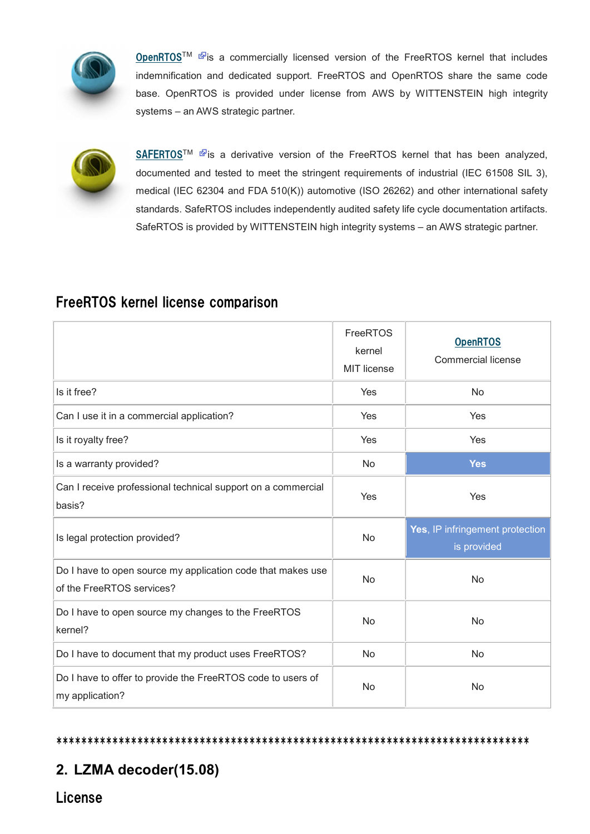

OpenRTOSTM Fis a commercially licensed version of the FreeRTOS kernel that includes indemnification and dedicated support. FreeRTOS and OpenRTOS share the same code base. OpenRTOS is provided under license from AWS by WITTENSTEIN high integrity systems – an AWS strategic partner.



SAFERTOS<sup>™ &</sup> is a derivative version of the FreeRTOS kernel that has been analyzed, documented and tested to meet the stringent requirements of industrial (IEC 61508 SIL 3), medical (IEC 62304 and FDA 510(K)) automotive (ISO 26262) and other international safety standards. SafeRTOS includes independently audited safety life cycle documentation artifacts. SafeRTOS is provided by WITTENSTEIN high integrity systems – an AWS strategic partner.

# FreeRTOS kernel license comparison

|                                                                                          | FreeRTOS<br>kernel<br><b>MIT license</b> | <b>OpenRTOS</b><br><b>Commercial license</b>   |
|------------------------------------------------------------------------------------------|------------------------------------------|------------------------------------------------|
| Is it free?                                                                              | Yes                                      | No                                             |
| Can I use it in a commercial application?                                                | Yes                                      | Yes                                            |
| Is it royalty free?                                                                      | Yes                                      | Yes                                            |
| Is a warranty provided?                                                                  | No                                       | <b>Yes</b>                                     |
| Can I receive professional technical support on a commercial<br>basis?                   | Yes                                      | Yes                                            |
| Is legal protection provided?                                                            | <b>No</b>                                | Yes, IP infringement protection<br>is provided |
| Do I have to open source my application code that makes use<br>of the FreeRTOS services? | No                                       | <b>No</b>                                      |
| Do I have to open source my changes to the FreeRTOS<br>kernel?                           | No                                       | No                                             |
| Do I have to document that my product uses FreeRTOS?                                     | No                                       | No                                             |
| Do I have to offer to provide the FreeRTOS code to users of                              |                                          | <b>No</b>                                      |

#### \*\*\*\*\*\*\*\*\*\*\*\*\*\*\*\*\*\*\*\*\*\*\*\*\*\*\*\*\*\*\*\*\*\*\*\*\*\*\*\*\*\*\*\*\*\*\*\*\*\*\*\*\*\*\*\*\*\*\*\*\*\*\*\*\*\*\*\*\*\*\*\*\*\*\*\*

# 2. LZMA decoder(15.08)

License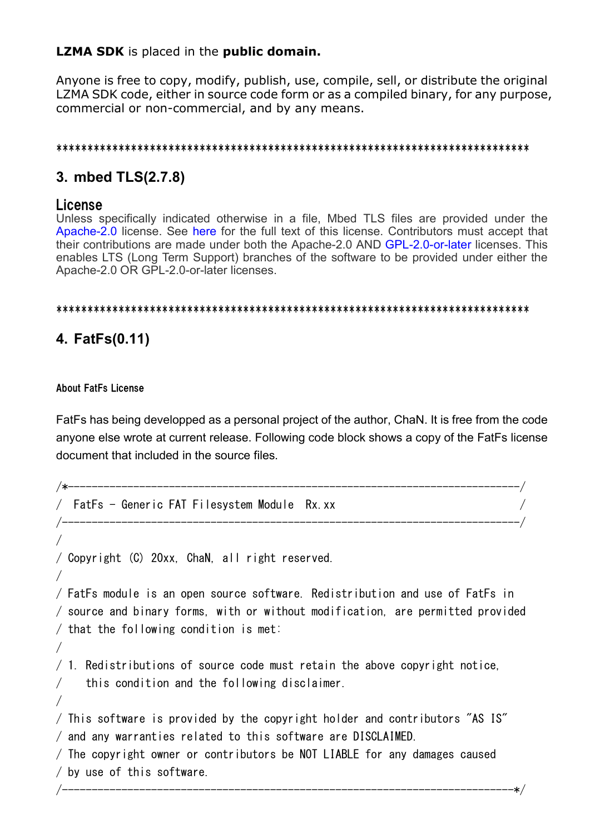## **LZMA SDK** is placed in the **public domain.**

Anyone is free to copy, modify, publish, use, compile, sell, or distribute the original LZMA SDK code, either in source code form or as a compiled binary, for any purpose, commercial or non-commercial, and by any means.

#### 

# 3. mbed TLS(2.7.8)

## License

Unless specifically indicated otherwise in a file, Mbed TLS files are provided under the Apache-2.0 license. See here for the full text of this license. Contributors must accept that their contributions are made under both the Apache-2.0 AND GPL-2.0-or-later licenses. This enables LTS (Long Term Support) branches of the software to be provided under either the Apache-2.0 OR GPL-2.0-or-later licenses.

### 

# 4. FatFs(0.11)

### **About FatFs License**

 $\sqrt{2}$ 

 $\sqrt{2}$ 

 $\sqrt{2}$ 

FatFs has being developped as a personal project of the author, ChaN. It is free from the code anyone else wrote at current release. Following code block shows a copy of the FatFs license document that included in the source files.

```
/ FatFs - Generic FAT Filesystem Module Rx.xx
```
/ Copyright (C) 20xx. ChaN. all right reserved.

/ FatFs module is an open source software. Redistribution and use of FatFs in / source and binary forms, with or without modification, are permitted provided  $/$  that the following condition is met:

 $\neq$  1. Redistributions of source code must retain the above copyright notice. this condition and the following disclaimer.  $\bigg)$ 

/ This software is provided by the copyright holder and contributors "AS IS" / and any warranties related to this software are DISCLAIMED.

```
/ The copyright owner or contributors be NOT LIABLE for any damages caused
/ by use of this software.
```
 $\sqrt{2}$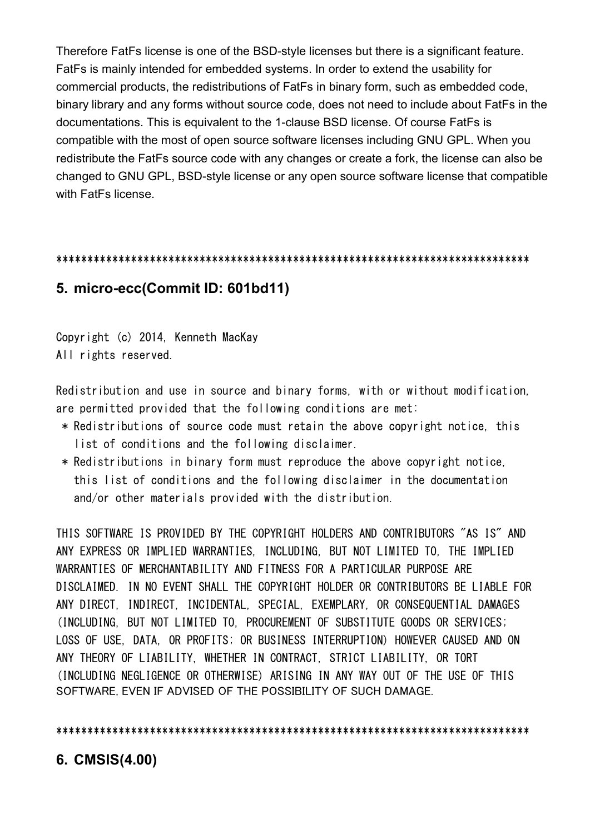Therefore FatFs license is one of the BSD-style licenses but there is a significant feature. FatFs is mainly intended for embedded systems. In order to extend the usability for commercial products, the redistributions of FatFs in binary form, such as embedded code, binary library and any forms without source code, does not need to include about FatFs in the documentations. This is equivalent to the 1-clause BSD license. Of course FatFs is compatible with the most of open source software licenses including GNU GPL. When you redistribute the FatFs source code with any changes or create a fork, the license can also be changed to GNU GPL, BSD-style license or any open source software license that compatible with FatFs license.

#### \*\*\*\*\*\*\*\*\*\*\*\*\*\*\*\*\*\*\*\*\*\*\*\*\*\*\*\*\*\*\*\*\*\*\*\*\*\*\*\*\*\*\*\*\*\*\*\*\*\*\*\*\*\*\*\*\*\*\*\*\*\*\*\*\*\*\*\*\*\*\*\*\*\*\*\*

## 5. micro-ecc(Commit ID: 601bd11)

Copyright (c) 2014, Kenneth MacKay All rights reserved.

Redistribution and use in source and binary forms, with or without modification, are permitted provided that the following conditions are met:

- \* Redistributions of source code must retain the above copyright notice, this list of conditions and the following disclaimer.
- \* Redistributions in binary form must reproduce the above copyright notice, this list of conditions and the following disclaimer in the documentation and/or other materials provided with the distribution.

THIS SOFTWARE IS PROVIDED BY THE COPYRIGHT HOLDERS AND CONTRIBUTORS "AS IS" AND ANY EXPRESS OR IMPLIED WARRANTIES, INCLUDING, BUT NOT LIMITED TO, THE IMPLIED WARRANTIES OF MERCHANTABILITY AND FITNESS FOR A PARTICULAR PURPOSE ARE DISCLAIMED. IN NO EVENT SHALL THE COPYRIGHT HOLDER OR CONTRIBUTORS BE LIABLE FOR ANY DIRECT, INDIRECT, INCIDENTAL, SPECIAL, EXEMPLARY, OR CONSEQUENTIAL DAMAGES (INCLUDING, BUT NOT LIMITED TO, PROCUREMENT OF SUBSTITUTE GOODS OR SERVICES; LOSS OF USE, DATA, OR PROFITS; OR BUSINESS INTERRUPTION) HOWEVER CAUSED AND ON ANY THEORY OF LIABILITY, WHETHER IN CONTRACT, STRICT LIABILITY, OR TORT (INCLUDING NEGLIGENCE OR OTHERWISE) ARISING IN ANY WAY OUT OF THE USE OF THIS SOFTWARE, EVEN IF ADVISED OF THE POSSIBILITY OF SUCH DAMAGE.

\*\*\*\*\*\*\*\*\*\*\*\*\*\*\*\*\*\*\*\*\*\*\*\*\*\*\*\*\*\*\*\*\*\*\*\*\*\*\*\*\*\*\*\*\*\*\*\*\*\*\*\*\*\*\*\*\*\*\*\*\*\*\*\*\*\*\*\*\*\*\*\*\*\*\*\*

## 6. CMSIS(4.00)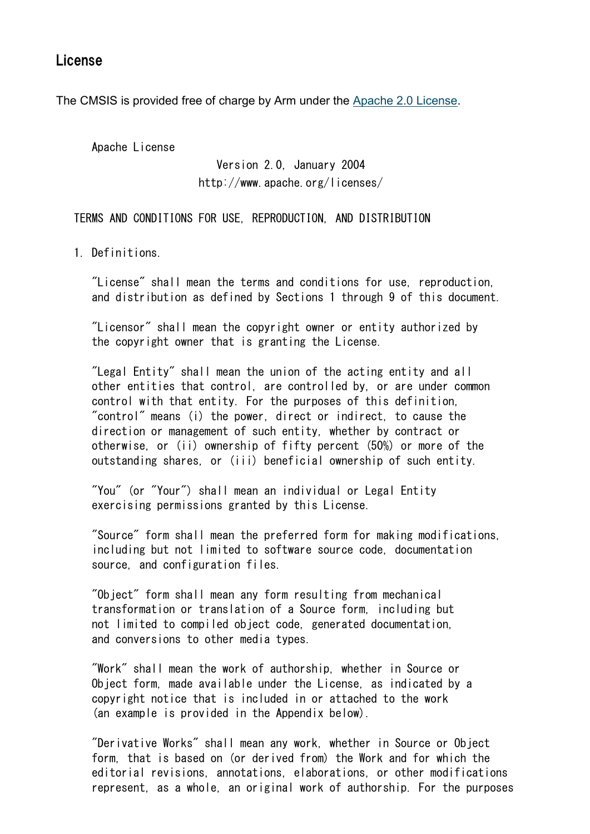## License

The CMSIS is provided free of charge by Arm under the Apache 2.0 License.

Apache License

 Version 2.0, January 2004 http://www.apache.org/licenses/

TERMS AND CONDITIONS FOR USE, REPRODUCTION, AND DISTRIBUTION

1. Definitions.

 "License" shall mean the terms and conditions for use, reproduction, and distribution as defined by Sections 1 through 9 of this document.

 "Licensor" shall mean the copyright owner or entity authorized by the copyright owner that is granting the License.

 "Legal Entity" shall mean the union of the acting entity and all other entities that control, are controlled by, or are under common control with that entity. For the purposes of this definition, "control" means (i) the power, direct or indirect, to cause the direction or management of such entity, whether by contract or otherwise, or (ii) ownership of fifty percent (50%) or more of the outstanding shares, or (iii) beneficial ownership of such entity.

 "You" (or "Your") shall mean an individual or Legal Entity exercising permissions granted by this License.

 "Source" form shall mean the preferred form for making modifications, including but not limited to software source code, documentation source, and configuration files.

 "Object" form shall mean any form resulting from mechanical transformation or translation of a Source form, including but not limited to compiled object code, generated documentation, and conversions to other media types.

 "Work" shall mean the work of authorship, whether in Source or Object form, made available under the License, as indicated by a copyright notice that is included in or attached to the work (an example is provided in the Appendix below).

 "Derivative Works" shall mean any work, whether in Source or Object form, that is based on (or derived from) the Work and for which the editorial revisions, annotations, elaborations, or other modifications represent, as a whole, an original work of authorship. For the purposes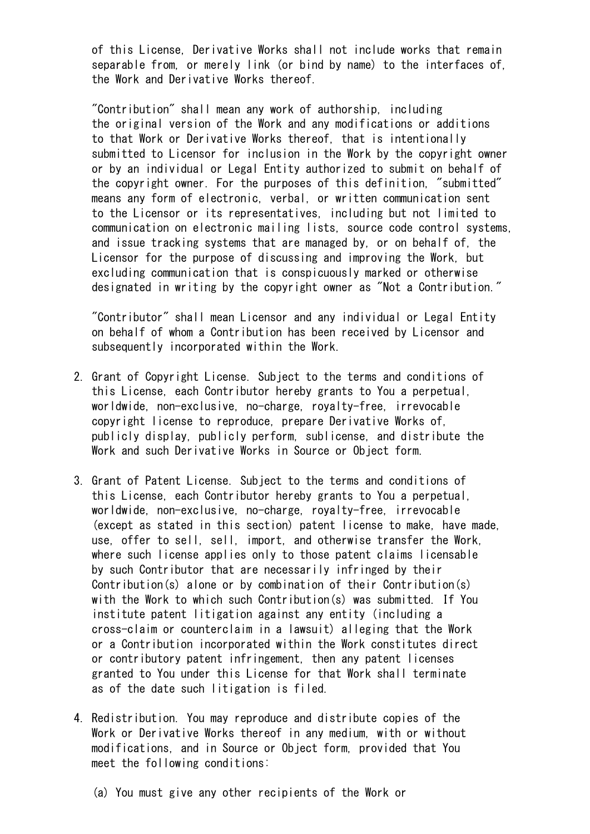of this License, Derivative Works shall not include works that remain separable from, or merely link (or bind by name) to the interfaces of, the Work and Derivative Works thereof.

 "Contribution" shall mean any work of authorship, including the original version of the Work and any modifications or additions to that Work or Derivative Works thereof, that is intentionally submitted to Licensor for inclusion in the Work by the copyright owner or by an individual or Legal Entity authorized to submit on behalf of the copyright owner. For the purposes of this definition, "submitted" means any form of electronic, verbal, or written communication sent to the Licensor or its representatives, including but not limited to communication on electronic mailing lists, source code control systems, and issue tracking systems that are managed by, or on behalf of, the Licensor for the purpose of discussing and improving the Work, but excluding communication that is conspicuously marked or otherwise designated in writing by the copyright owner as "Not a Contribution."

 "Contributor" shall mean Licensor and any individual or Legal Entity on behalf of whom a Contribution has been received by Licensor and subsequently incorporated within the Work.

- 2. Grant of Copyright License. Subject to the terms and conditions of this License, each Contributor hereby grants to You a perpetual, worldwide, non-exclusive, no-charge, royalty-free, irrevocable copyright license to reproduce, prepare Derivative Works of, publicly display, publicly perform, sublicense, and distribute the Work and such Derivative Works in Source or Object form.
- 3. Grant of Patent License. Subject to the terms and conditions of this License, each Contributor hereby grants to You a perpetual, worldwide, non-exclusive, no-charge, royalty-free, irrevocable (except as stated in this section) patent license to make, have made, use, offer to sell, sell, import, and otherwise transfer the Work, where such license applies only to those patent claims licensable by such Contributor that are necessarily infringed by their Contribution(s) alone or by combination of their Contribution(s) with the Work to which such Contribution(s) was submitted. If You institute patent litigation against any entity (including a cross-claim or counterclaim in a lawsuit) alleging that the Work or a Contribution incorporated within the Work constitutes direct or contributory patent infringement, then any patent licenses granted to You under this License for that Work shall terminate as of the date such litigation is filed.
- 4. Redistribution. You may reproduce and distribute copies of the Work or Derivative Works thereof in any medium, with or without modifications, and in Source or Object form, provided that You meet the following conditions:
	- (a) You must give any other recipients of the Work or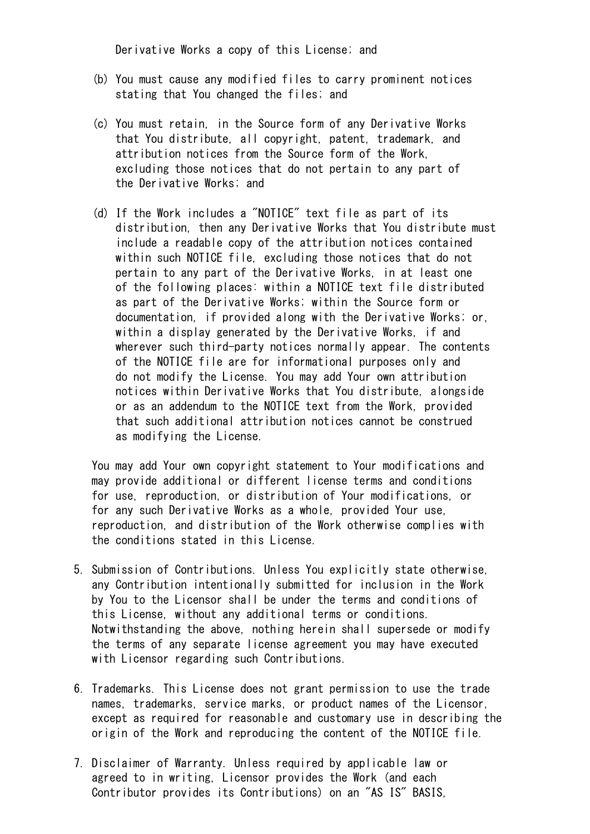Derivative Works a copy of this License; and

- (b) You must cause any modified files to carry prominent notices stating that You changed the files; and
- (c) You must retain, in the Source form of any Derivative Works that You distribute, all copyright, patent, trademark, and attribution notices from the Source form of the Work, excluding those notices that do not pertain to any part of the Derivative Works; and
- (d) If the Work includes a "NOTICE" text file as part of its distribution, then any Derivative Works that You distribute must include a readable copy of the attribution notices contained within such NOTICE file, excluding those notices that do not pertain to any part of the Derivative Works, in at least one of the following places: within a NOTICE text file distributed as part of the Derivative Works; within the Source form or documentation, if provided along with the Derivative Works; or, within a display generated by the Derivative Works, if and wherever such third-party notices normally appear. The contents of the NOTICE file are for informational purposes only and do not modify the License. You may add Your own attribution notices within Derivative Works that You distribute, alongside or as an addendum to the NOTICE text from the Work, provided that such additional attribution notices cannot be construed as modifying the License.

 You may add Your own copyright statement to Your modifications and may provide additional or different license terms and conditions for use, reproduction, or distribution of Your modifications, or for any such Derivative Works as a whole, provided Your use, reproduction, and distribution of the Work otherwise complies with the conditions stated in this License.

- 5. Submission of Contributions. Unless You explicitly state otherwise, any Contribution intentionally submitted for inclusion in the Work by You to the Licensor shall be under the terms and conditions of this License, without any additional terms or conditions. Notwithstanding the above, nothing herein shall supersede or modify the terms of any separate license agreement you may have executed with Licensor regarding such Contributions.
- 6. Trademarks. This License does not grant permission to use the trade names, trademarks, service marks, or product names of the Licensor, except as required for reasonable and customary use in describing the origin of the Work and reproducing the content of the NOTICE file.
- 7. Disclaimer of Warranty. Unless required by applicable law or agreed to in writing, Licensor provides the Work (and each Contributor provides its Contributions) on an "AS IS" BASIS,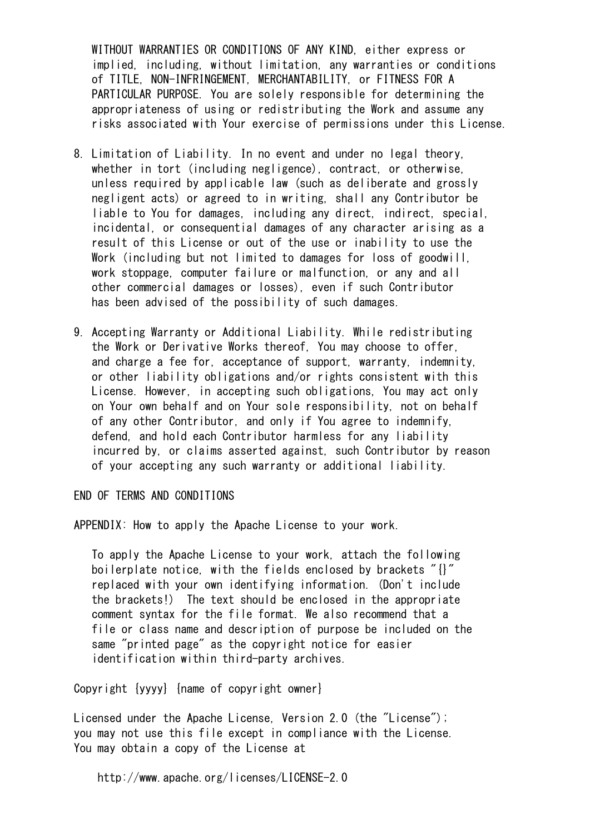WITHOUT WARRANTIES OR CONDITIONS OF ANY KIND, either express or implied, including, without limitation, any warranties or conditions of TITLE, NON-INFRINGEMENT, MERCHANTABILITY, or FITNESS FOR A PARTICULAR PURPOSE. You are solely responsible for determining the appropriateness of using or redistributing the Work and assume any risks associated with Your exercise of permissions under this License.

- 8. Limitation of Liability. In no event and under no legal theory, whether in tort (including negligence), contract, or otherwise, unless required by applicable law (such as deliberate and grossly negligent acts) or agreed to in writing, shall any Contributor be liable to You for damages, including any direct, indirect, special, incidental, or consequential damages of any character arising as a result of this License or out of the use or inability to use the Work (including but not limited to damages for loss of goodwill, work stoppage, computer failure or malfunction, or any and all other commercial damages or losses), even if such Contributor has been advised of the possibility of such damages.
- 9. Accepting Warranty or Additional Liability. While redistributing the Work or Derivative Works thereof, You may choose to offer, and charge a fee for, acceptance of support, warranty, indemnity, or other liability obligations and/or rights consistent with this License. However, in accepting such obligations, You may act only on Your own behalf and on Your sole responsibility, not on behalf of any other Contributor, and only if You agree to indemnify, defend, and hold each Contributor harmless for any liability incurred by, or claims asserted against, such Contributor by reason of your accepting any such warranty or additional liability.

END OF TERMS AND CONDITIONS

APPENDIX: How to apply the Apache License to your work.

 To apply the Apache License to your work, attach the following boilerplate notice, with the fields enclosed by brackets "{}" replaced with your own identifying information. (Don't include the brackets!) The text should be enclosed in the appropriate comment syntax for the file format. We also recommend that a file or class name and description of purpose be included on the same "printed page" as the copyright notice for easier identification within third-party archives.

Copyright {yyyy} {name of copyright owner}

 Licensed under the Apache License, Version 2.0 (the "License"); you may not use this file except in compliance with the License. You may obtain a copy of the License at

http://www.apache.org/licenses/LICENSE-2.0